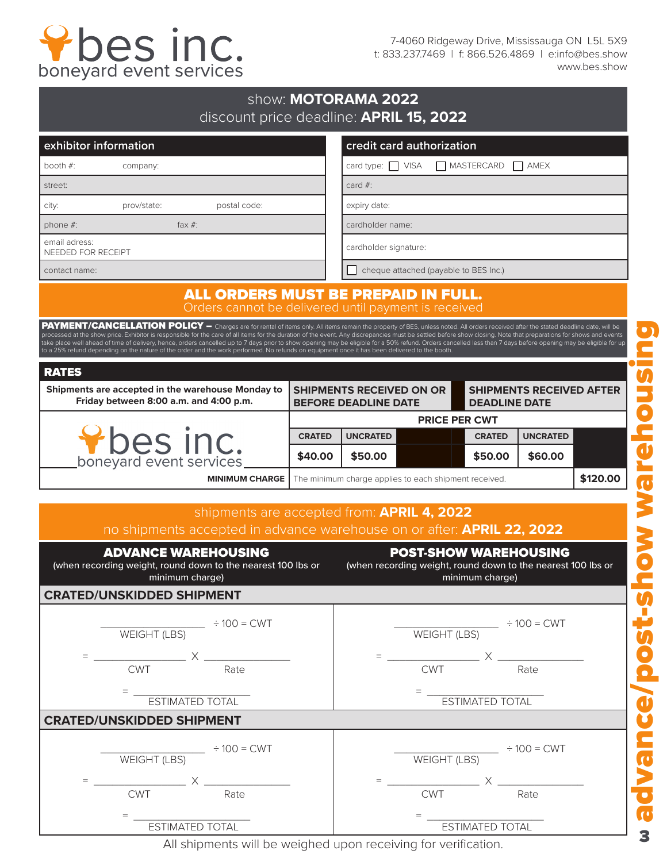

7-4060 Ridgeway Drive, Mississauga ON L5L 5X9 t: 833.237.7469 | f: 866.526.4869 | e:info@bes.show www.bes.show

| discount price deadline: APRIL 15, 2022                                                                                                                                                                                                                                                                                                                                                                                                                                                                                                                                                                                                                                                                                                                                      |               | show: MOTORAMA 2022                                            |                                                                                              |                        |                                 |          |
|------------------------------------------------------------------------------------------------------------------------------------------------------------------------------------------------------------------------------------------------------------------------------------------------------------------------------------------------------------------------------------------------------------------------------------------------------------------------------------------------------------------------------------------------------------------------------------------------------------------------------------------------------------------------------------------------------------------------------------------------------------------------------|---------------|----------------------------------------------------------------|----------------------------------------------------------------------------------------------|------------------------|---------------------------------|----------|
| exhibitor information                                                                                                                                                                                                                                                                                                                                                                                                                                                                                                                                                                                                                                                                                                                                                        |               |                                                                | credit card authorization                                                                    |                        |                                 |          |
| booth $#$ :<br>company:                                                                                                                                                                                                                                                                                                                                                                                                                                                                                                                                                                                                                                                                                                                                                      |               | card type: VISA<br>MASTERCARD<br>I I AMEX                      |                                                                                              |                        |                                 |          |
| street:                                                                                                                                                                                                                                                                                                                                                                                                                                                                                                                                                                                                                                                                                                                                                                      |               | card $#$ :                                                     |                                                                                              |                        |                                 |          |
| prov/state:<br>postal code:<br>city:                                                                                                                                                                                                                                                                                                                                                                                                                                                                                                                                                                                                                                                                                                                                         |               | expiry date:                                                   |                                                                                              |                        |                                 |          |
| fax $#$ :<br>phone $#$ :                                                                                                                                                                                                                                                                                                                                                                                                                                                                                                                                                                                                                                                                                                                                                     |               | cardholder name:                                               |                                                                                              |                        |                                 |          |
| email adress:<br>NEEDED FOR RECEIPT                                                                                                                                                                                                                                                                                                                                                                                                                                                                                                                                                                                                                                                                                                                                          |               | cardholder signature:                                          |                                                                                              |                        |                                 |          |
| contact name:                                                                                                                                                                                                                                                                                                                                                                                                                                                                                                                                                                                                                                                                                                                                                                |               | cheque attached (payable to BES Inc.)                          |                                                                                              |                        |                                 |          |
| ALL ORDERS MUST BE PREPAID IN FULL.<br>Orders cannot be delivered until payment is received                                                                                                                                                                                                                                                                                                                                                                                                                                                                                                                                                                                                                                                                                  |               |                                                                |                                                                                              |                        |                                 |          |
| PAYMENT/CANCELLATION POLICY - Charges are for rental of items only. All items remain the property of BES, unless noted. All orders received after the stated deadline date, will be<br>processed at the show price. Exhibitor is responsible for the care of all items for the duration of the event. Any discrepancies must be settled before show closing. Note that preparations for shows and events<br>take place well ahead of time of delivery, hence, orders cancelled up to 7 days prior to show opening may be eligible for a 50% refund. Orders cancelled less than 7 days before opening may be eligible for up<br>to a 25% refund depending on the nature of the order and the work performed. No refunds on equipment once it has been delivered to the booth. |               |                                                                |                                                                                              |                        |                                 |          |
| <b>RATES</b>                                                                                                                                                                                                                                                                                                                                                                                                                                                                                                                                                                                                                                                                                                                                                                 |               |                                                                |                                                                                              |                        |                                 |          |
| Shipments are accepted in the warehouse Monday to<br>Friday between 8:00 a.m. and 4:00 p.m.                                                                                                                                                                                                                                                                                                                                                                                                                                                                                                                                                                                                                                                                                  |               | <b>SHIPMENTS RECEIVED ON OR</b><br><b>BEFORE DEADLINE DATE</b> |                                                                                              | <b>DEADLINE DATE</b>   | <b>SHIPMENTS RECEIVED AFTER</b> |          |
|                                                                                                                                                                                                                                                                                                                                                                                                                                                                                                                                                                                                                                                                                                                                                                              |               |                                                                | <b>PRICE PER CWT</b>                                                                         |                        |                                 |          |
|                                                                                                                                                                                                                                                                                                                                                                                                                                                                                                                                                                                                                                                                                                                                                                              | <b>CRATED</b> | <b>UNCRATED</b>                                                |                                                                                              | <b>CRATED</b>          | <b>UNCRATED</b>                 |          |
| <b>Phesinc.</b><br>boneyard event services                                                                                                                                                                                                                                                                                                                                                                                                                                                                                                                                                                                                                                                                                                                                   | \$40.00       | \$50.00                                                        |                                                                                              | \$50.00                | \$60.00                         |          |
| <b>MINIMUM CHARGE</b>                                                                                                                                                                                                                                                                                                                                                                                                                                                                                                                                                                                                                                                                                                                                                        |               |                                                                | The minimum charge applies to each shipment received.                                        |                        |                                 | \$120.00 |
|                                                                                                                                                                                                                                                                                                                                                                                                                                                                                                                                                                                                                                                                                                                                                                              |               |                                                                |                                                                                              |                        |                                 |          |
| shipments are accepted from: APRIL 4, 2022<br>no shipments accepted in advance warehouse on or after: APRIL 22, 2022                                                                                                                                                                                                                                                                                                                                                                                                                                                                                                                                                                                                                                                         |               |                                                                |                                                                                              |                        |                                 |          |
| <b>ADVANCE WAREHOUSING</b><br>(when recording weight, round down to the nearest 100 lbs or<br>minimum charge)                                                                                                                                                                                                                                                                                                                                                                                                                                                                                                                                                                                                                                                                |               |                                                                | <b>POST-SHOW WAREHOUSING</b><br>(when recording weight, round down to the nearest 100 lbs or | minimum charge)        |                                 |          |
| <b>CRATED/UNSKIDDED SHIPMENT</b>                                                                                                                                                                                                                                                                                                                                                                                                                                                                                                                                                                                                                                                                                                                                             |               |                                                                |                                                                                              |                        |                                 |          |
| WEIGHT (LBS) $\div$ 100 = CWT                                                                                                                                                                                                                                                                                                                                                                                                                                                                                                                                                                                                                                                                                                                                                |               |                                                                | WEIGHT (LBS) $\div$ 100 = CWT                                                                |                        |                                 |          |
| <b>CWT</b><br>Rate                                                                                                                                                                                                                                                                                                                                                                                                                                                                                                                                                                                                                                                                                                                                                           |               |                                                                | CWT                                                                                          |                        | Rate                            |          |
|                                                                                                                                                                                                                                                                                                                                                                                                                                                                                                                                                                                                                                                                                                                                                                              |               |                                                                |                                                                                              |                        |                                 |          |
| ESTIMATED TOTAL                                                                                                                                                                                                                                                                                                                                                                                                                                                                                                                                                                                                                                                                                                                                                              |               |                                                                |                                                                                              | ESTIMATED TOTAL        |                                 |          |
| <b>CRATED/UNSKIDDED SHIPMENT</b>                                                                                                                                                                                                                                                                                                                                                                                                                                                                                                                                                                                                                                                                                                                                             |               |                                                                |                                                                                              |                        |                                 |          |
| WEIGHT (LBS) $\div 100 = CWT$                                                                                                                                                                                                                                                                                                                                                                                                                                                                                                                                                                                                                                                                                                                                                |               |                                                                | WEIGHT (LBS) $\div$ 100 = CWT                                                                |                        |                                 |          |
|                                                                                                                                                                                                                                                                                                                                                                                                                                                                                                                                                                                                                                                                                                                                                                              |               |                                                                |                                                                                              |                        |                                 |          |
| <b>CWT</b><br>Rate                                                                                                                                                                                                                                                                                                                                                                                                                                                                                                                                                                                                                                                                                                                                                           |               |                                                                | <b>CWT</b>                                                                                   |                        | Rate                            |          |
| $=$ $-$<br><b>ESTIMATED TOTAL</b>                                                                                                                                                                                                                                                                                                                                                                                                                                                                                                                                                                                                                                                                                                                                            |               |                                                                |                                                                                              | <b>ESTIMATED TOTAL</b> |                                 |          |